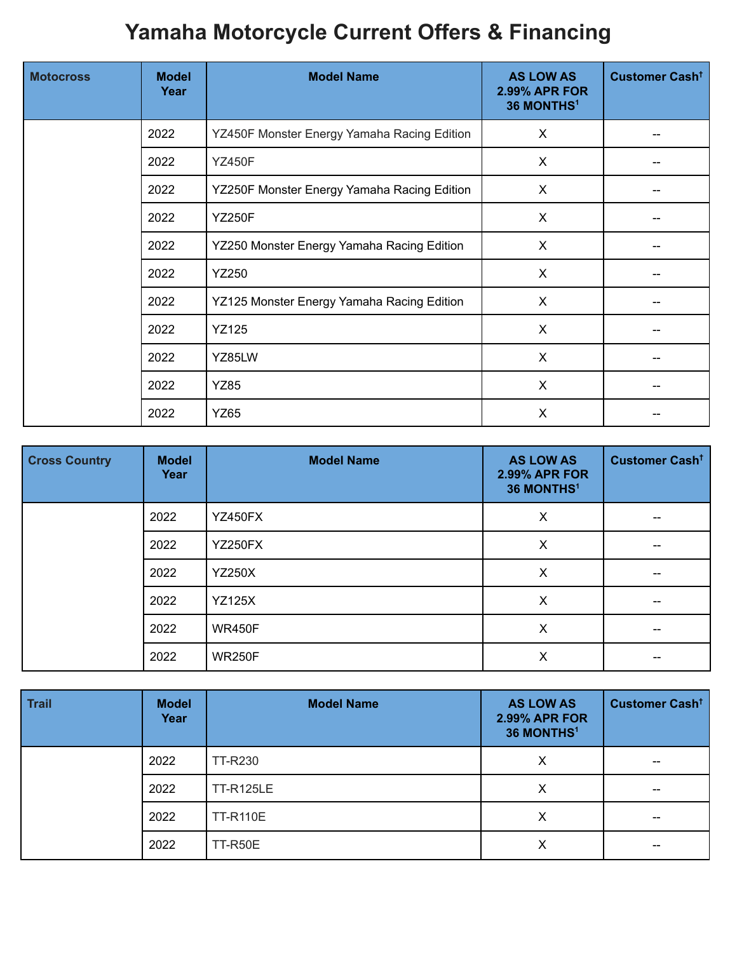## **Yamaha Motorcycle Current Offers & Financing**

| <b>Motocross</b> | <b>Model</b><br>Year | <b>Model Name</b>                           | <b>AS LOW AS</b><br><b>2.99% APR FOR</b><br>36 MONTHS <sup>1</sup> | Customer Cash <sup>+</sup> |
|------------------|----------------------|---------------------------------------------|--------------------------------------------------------------------|----------------------------|
|                  | 2022                 | YZ450F Monster Energy Yamaha Racing Edition | X                                                                  |                            |
|                  | 2022                 | <b>YZ450F</b>                               | X                                                                  |                            |
|                  | 2022                 | YZ250F Monster Energy Yamaha Racing Edition | X                                                                  |                            |
|                  | 2022                 | <b>YZ250F</b>                               | X                                                                  |                            |
|                  | 2022                 | YZ250 Monster Energy Yamaha Racing Edition  | X                                                                  |                            |
|                  | 2022                 | <b>YZ250</b>                                | $\pmb{\times}$                                                     |                            |
|                  | 2022                 | YZ125 Monster Energy Yamaha Racing Edition  | X                                                                  |                            |
|                  | 2022                 | <b>YZ125</b>                                | $\sf X$                                                            |                            |
|                  | 2022                 | YZ85LW                                      | X                                                                  |                            |
|                  | 2022                 | <b>YZ85</b>                                 | X                                                                  |                            |
|                  | 2022                 | <b>YZ65</b>                                 | X                                                                  |                            |

| <b>Cross Country</b> | <b>Model</b><br>Year | <b>Model Name</b> | <b>AS LOW AS</b><br><b>2.99% APR FOR</b><br>36 MONTHS <sup>1</sup> | <b>Customer Cash<sup>t</sup></b> |
|----------------------|----------------------|-------------------|--------------------------------------------------------------------|----------------------------------|
|                      | 2022                 | <b>YZ450FX</b>    | X                                                                  |                                  |
|                      | 2022                 | <b>YZ250FX</b>    | X                                                                  |                                  |
|                      | 2022                 | <b>YZ250X</b>     | X                                                                  |                                  |
|                      | 2022                 | <b>YZ125X</b>     | $\times$                                                           |                                  |
|                      | 2022                 | <b>WR450F</b>     | $\times$                                                           |                                  |
|                      | 2022                 | <b>WR250F</b>     | X                                                                  |                                  |

| <b>Trail</b> | <b>Model</b><br>Year | <b>Model Name</b> | <b>AS LOW AS</b><br><b>2.99% APR FOR</b><br>36 MONTHS <sup>1</sup> | Customer Cash <sup>+</sup> |
|--------------|----------------------|-------------------|--------------------------------------------------------------------|----------------------------|
|              | 2022                 | TT-R230           | X                                                                  | $- -$                      |
|              | 2022                 | <b>TT-R125LE</b>  | X                                                                  |                            |
|              | 2022                 | <b>TT-R110E</b>   | $\times$                                                           |                            |
|              | 2022                 | TT-R50E           | X                                                                  | $\qquad \qquad \qquad -$   |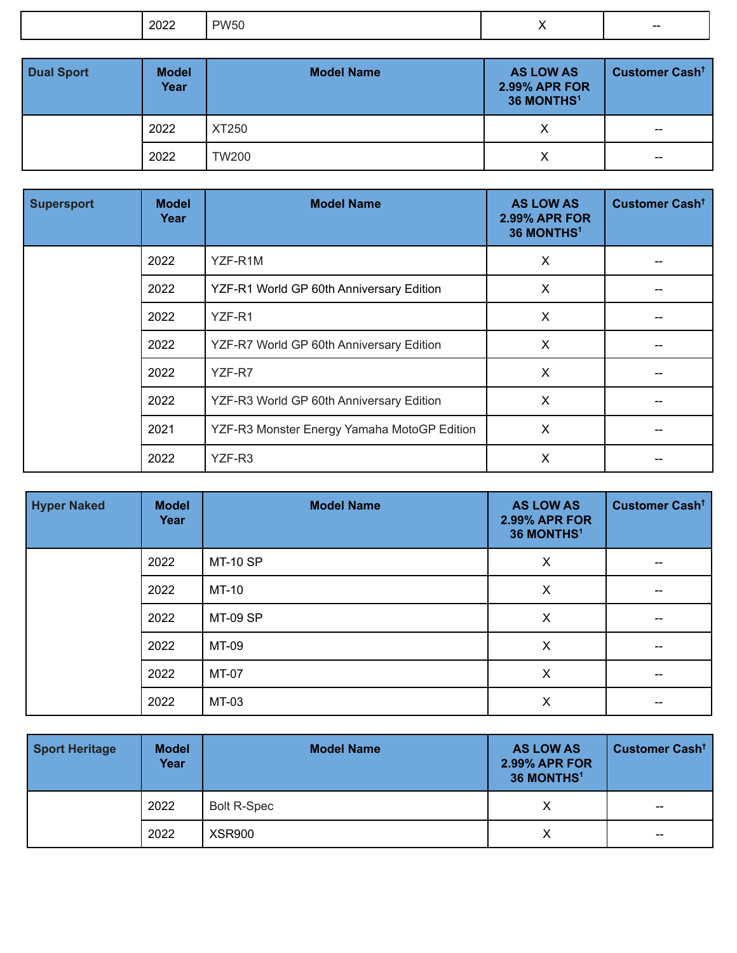|  | -97 | $\mathbf{u}$ |  | --- |
|--|-----|--------------|--|-----|
|--|-----|--------------|--|-----|

| <b>Dual Sport</b> | <b>Model</b><br>Year | <b>Model Name</b> | <b>AS LOW AS</b><br><b>2.99% APR FOR</b><br>36 MONTHS <sup>1</sup> | Customer Cash <sup>t</sup>                     |
|-------------------|----------------------|-------------------|--------------------------------------------------------------------|------------------------------------------------|
|                   | 2022                 | XT250             | Х                                                                  | $\hspace{0.1mm}-\hspace{0.1mm}-\hspace{0.1mm}$ |
|                   | 2022                 | <b>TW200</b>      | Χ                                                                  | $\hspace{0.1mm}-\hspace{0.1mm}-\hspace{0.1mm}$ |

| <b>Supersport</b> | <b>Model</b><br>Year | <b>Model Name</b>                           | <b>AS LOW AS</b><br><b>2.99% APR FOR</b><br>36 MONTHS <sup>1</sup> | Customer Cash <sup>t</sup> |
|-------------------|----------------------|---------------------------------------------|--------------------------------------------------------------------|----------------------------|
|                   | 2022                 | YZF-R1M                                     | X                                                                  |                            |
|                   | 2022                 | YZF-R1 World GP 60th Anniversary Edition    | X                                                                  |                            |
|                   | 2022                 | YZF-R1                                      | X                                                                  |                            |
|                   | 2022                 | YZF-R7 World GP 60th Anniversary Edition    | X                                                                  |                            |
|                   | 2022                 | YZF-R7                                      | X                                                                  |                            |
|                   | 2022                 | YZF-R3 World GP 60th Anniversary Edition    | X                                                                  |                            |
|                   | 2021                 | YZF-R3 Monster Energy Yamaha MotoGP Edition | X                                                                  |                            |
|                   | 2022                 | YZF-R3                                      | X                                                                  |                            |

| <b>Hyper Naked</b> | <b>Model</b><br>Year | <b>Model Name</b> | <b>AS LOW AS</b><br><b>2.99% APR FOR</b><br>36 MONTHS <sup>1</sup> | Customer Cash <sup>t</sup> |
|--------------------|----------------------|-------------------|--------------------------------------------------------------------|----------------------------|
|                    | 2022                 | <b>MT-10 SP</b>   | X                                                                  | --                         |
|                    | 2022                 | MT-10             | X                                                                  |                            |
|                    | 2022                 | <b>MT-09 SP</b>   | $\times$                                                           |                            |
|                    | 2022                 | MT-09             | X                                                                  |                            |
|                    | 2022                 | MT-07             | X                                                                  |                            |
|                    | 2022                 | MT-03             | X                                                                  |                            |

| <b>Sport Heritage</b> | <b>Model</b><br>Year | <b>Model Name</b>  | <b>AS LOW AS</b><br><b>2.99% APR FOR</b><br>36 MONTHS <sup>1</sup> | Customer Cash <sup>t</sup> |
|-----------------------|----------------------|--------------------|--------------------------------------------------------------------|----------------------------|
|                       | 2022                 | <b>Bolt R-Spec</b> | Х                                                                  | $- -$                      |
|                       | 2022                 | <b>XSR900</b>      | Χ                                                                  | $\sim$                     |